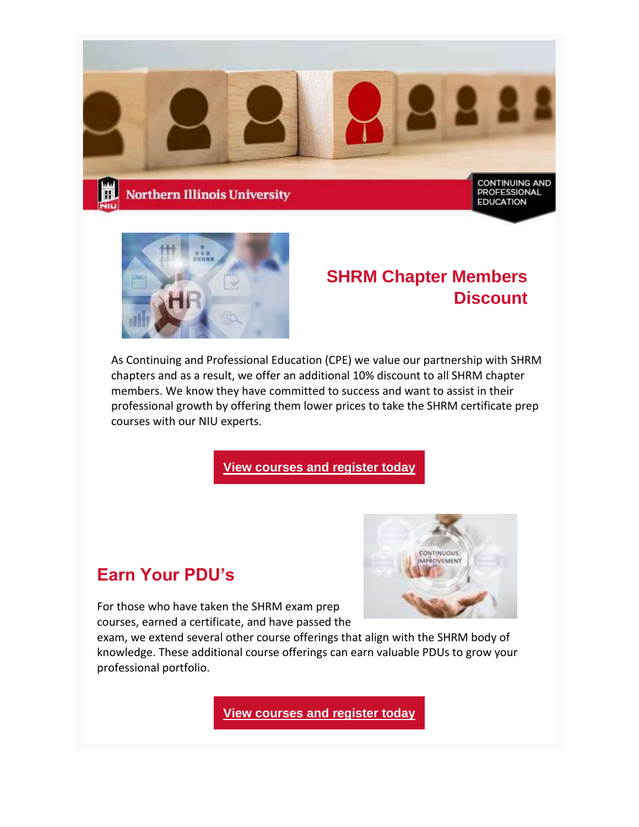



## **SHRM Chapter Members Discount**

As Continuing and Professional Education (CPE) we value our partnership with SHRM chapters and as a result, we offer an additional 10% discount to all SHRM chapter members. We know they have committed to success and want to assist in their professional growth by offering them lower prices to take the SHRM certificate prep courses with our NIU experts.

**[View courses and register today](https://www.niu.edu/continuing-professional-education/programs/human-resources/shrm-cp-shrm-scp/index.shtml)**

## **Earn Your PDU's**

For those who have taken the SHRM exam prep courses, earned a certificate, and have passed the



exam, we extend several other course offerings that align with the SHRM body of knowledge. These additional course offerings can earn valuable PDUs to grow your professional portfolio.

**[View courses and register today](https://www.niu.edu/continuing-professional-education/programs/human-resources/strategies-solutions/index.shtml)**